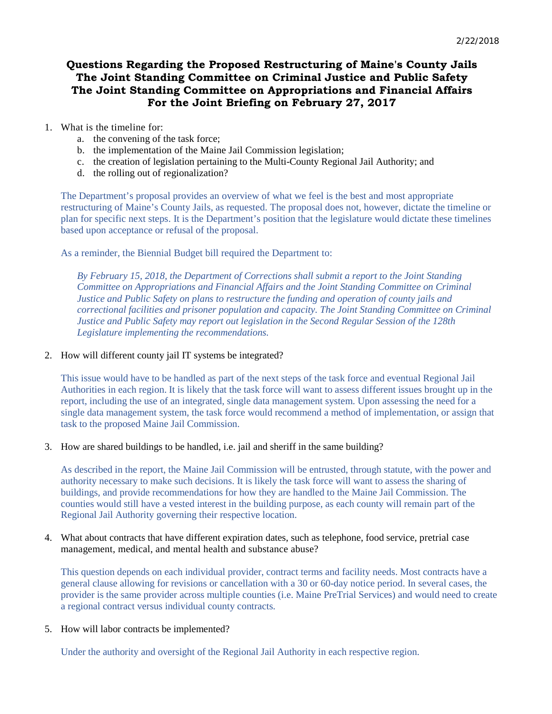# **Questions Regarding the Proposed Restructuring of Maine's County Jails The Joint Standing Committee on Criminal Justice and Public Safety The Joint Standing Committee on Appropriations and Financial Affairs For the Joint Briefing on February 27, 2017**

- 1. What is the timeline for:
	- a. the convening of the task force;
	- b. the implementation of the Maine Jail Commission legislation;
	- c. the creation of legislation pertaining to the Multi-County Regional Jail Authority; and
	- d. the rolling out of regionalization?

The Department's proposal provides an overview of what we feel is the best and most appropriate restructuring of Maine's County Jails, as requested. The proposal does not, however, dictate the timeline or plan for specific next steps. It is the Department's position that the legislature would dictate these timelines based upon acceptance or refusal of the proposal.

As a reminder, the Biennial Budget bill required the Department to:

*By February 15, 2018, the Department of Corrections shall submit a report to the Joint Standing Committee on Appropriations and Financial Affairs and the Joint Standing Committee on Criminal Justice and Public Safety on plans to restructure the funding and operation of county jails and correctional facilities and prisoner population and capacity. The Joint Standing Committee on Criminal Justice and Public Safety may report out legislation in the Second Regular Session of the 128th Legislature implementing the recommendations.*

### 2. How will different county jail IT systems be integrated?

This issue would have to be handled as part of the next steps of the task force and eventual Regional Jail Authorities in each region. It is likely that the task force will want to assess different issues brought up in the report, including the use of an integrated, single data management system. Upon assessing the need for a single data management system, the task force would recommend a method of implementation, or assign that task to the proposed Maine Jail Commission.

## 3. How are shared buildings to be handled, i.e. jail and sheriff in the same building?

As described in the report, the Maine Jail Commission will be entrusted, through statute, with the power and authority necessary to make such decisions. It is likely the task force will want to assess the sharing of buildings, and provide recommendations for how they are handled to the Maine Jail Commission. The counties would still have a vested interest in the building purpose, as each county will remain part of the Regional Jail Authority governing their respective location.

## 4. What about contracts that have different expiration dates, such as telephone, food service, pretrial case management, medical, and mental health and substance abuse?

This question depends on each individual provider, contract terms and facility needs. Most contracts have a general clause allowing for revisions or cancellation with a 30 or 60-day notice period. In several cases, the provider is the same provider across multiple counties (i.e. Maine PreTrial Services) and would need to create a regional contract versus individual county contracts.

## 5. How will labor contracts be implemented?

Under the authority and oversight of the Regional Jail Authority in each respective region.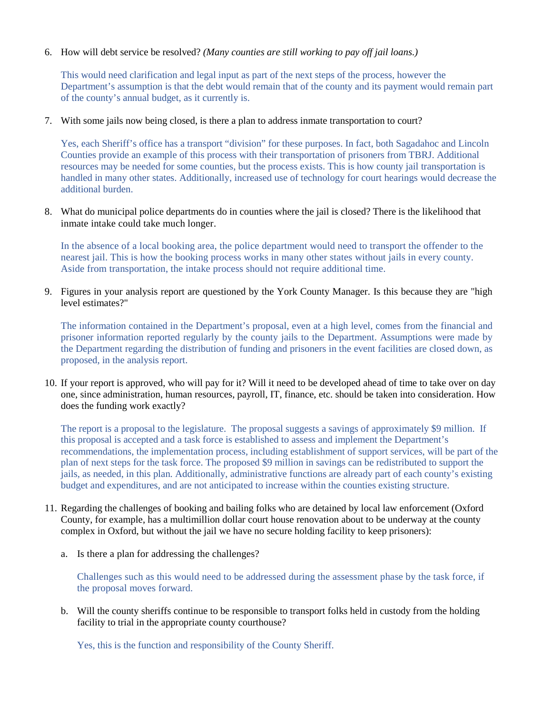6. How will debt service be resolved? *(Many counties are still working to pay off jail loans.)*

This would need clarification and legal input as part of the next steps of the process, however the Department's assumption is that the debt would remain that of the county and its payment would remain part of the county's annual budget, as it currently is.

7. With some jails now being closed, is there a plan to address inmate transportation to court?

Yes, each Sheriff's office has a transport "division" for these purposes. In fact, both Sagadahoc and Lincoln Counties provide an example of this process with their transportation of prisoners from TBRJ. Additional resources may be needed for some counties, but the process exists. This is how county jail transportation is handled in many other states. Additionally, increased use of technology for court hearings would decrease the additional burden.

8. What do municipal police departments do in counties where the jail is closed? There is the likelihood that inmate intake could take much longer.

In the absence of a local booking area, the police department would need to transport the offender to the nearest jail. This is how the booking process works in many other states without jails in every county. Aside from transportation, the intake process should not require additional time.

9. Figures in your analysis report are questioned by the York County Manager. Is this because they are "high level estimates?"

The information contained in the Department's proposal, even at a high level, comes from the financial and prisoner information reported regularly by the county jails to the Department. Assumptions were made by the Department regarding the distribution of funding and prisoners in the event facilities are closed down, as proposed, in the analysis report.

10. If your report is approved, who will pay for it? Will it need to be developed ahead of time to take over on day one, since administration, human resources, payroll, IT, finance, etc. should be taken into consideration. How does the funding work exactly?

The report is a proposal to the legislature. The proposal suggests a savings of approximately \$9 million. If this proposal is accepted and a task force is established to assess and implement the Department's recommendations, the implementation process, including establishment of support services, will be part of the plan of next steps for the task force. The proposed \$9 million in savings can be redistributed to support the jails, as needed, in this plan. Additionally, administrative functions are already part of each county's existing budget and expenditures, and are not anticipated to increase within the counties existing structure.

- 11. Regarding the challenges of booking and bailing folks who are detained by local law enforcement (Oxford County, for example, has a multimillion dollar court house renovation about to be underway at the county complex in Oxford, but without the jail we have no secure holding facility to keep prisoners):
	- a. Is there a plan for addressing the challenges?

Challenges such as this would need to be addressed during the assessment phase by the task force, if the proposal moves forward.

b. Will the county sheriffs continue to be responsible to transport folks held in custody from the holding facility to trial in the appropriate county courthouse?

Yes, this is the function and responsibility of the County Sheriff.